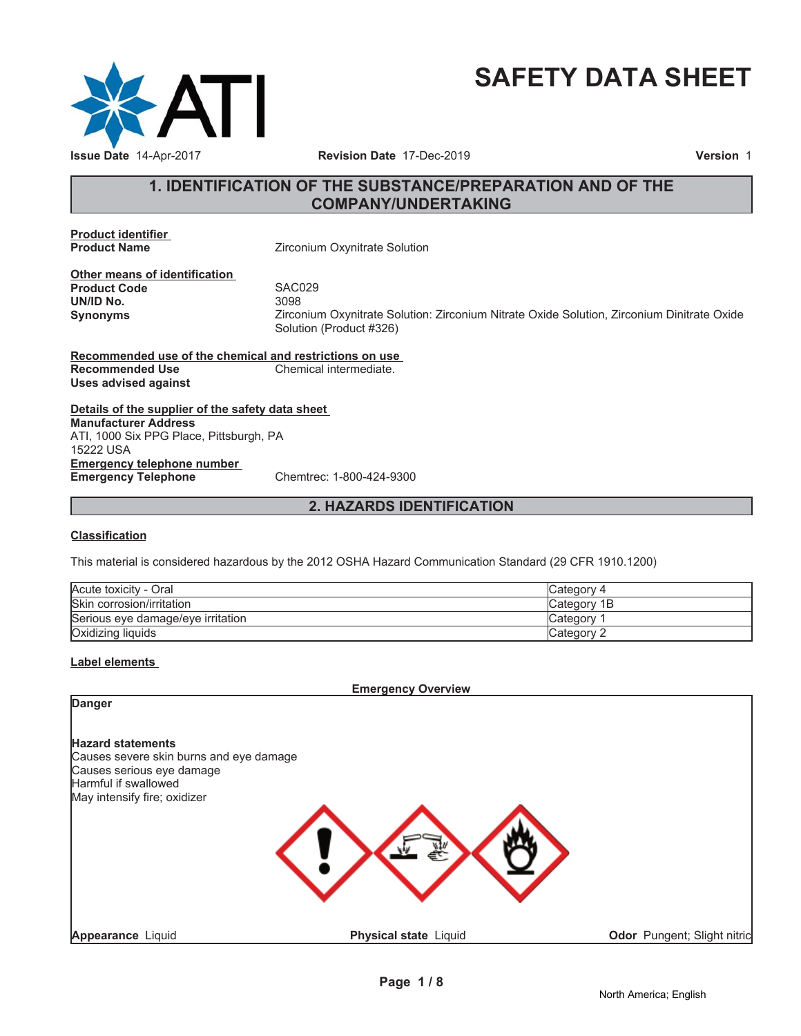

# **SAFETY DATA SHEET**

### **1. IDENTIFICATION OF THE SUBSTANCE/PREPARATION AND OF THE COMPANY/UNDERTAKING**

**Product identifier**

**Zirconium Oxynitrate Solution** 

**Other means of identification Product Code 5AC029**<br> **UN/ID No.** 3098 **UN/ID No.** 

**Synonyms** Zirconium Oxynitrate Solution: Zirconium Nitrate Oxide Solution, Zirconium Dinitrate Oxide Solution (Product #326)

**Recommended use of the chemical and restrictions on use Recommended Use Chemical intermediate. Uses advised against**

**Details of the supplier of the safety data sheet Emergency telephone number Emergency Telephone** Chemtrec: 1-800-424-9300 **Manufacturer Address** ATI, 1000 Six PPG Place, Pittsburgh, PA 15222 USA

### **2. HAZARDS IDENTIFICATION**

#### **Classification**

This material is considered hazardous by the 2012 OSHA Hazard Communication Standard (29 CFR 1910.1200)

| Acute toxicity - Oral             | Category 4  |
|-----------------------------------|-------------|
| Skin corrosion/irritation         | Category 1B |
| Serious eve damage/eve irritation | ∵ategory ت  |
| Oxidizing liquids                 | ″ ategoryٽ  |

#### **Label elements**

**Emergency Overview**

| Danger                                                                                                                                                   |                              |                             |
|----------------------------------------------------------------------------------------------------------------------------------------------------------|------------------------------|-----------------------------|
| <b>Hazard statements</b><br>Causes severe skin burns and eye damage<br>Causes serious eye damage<br>Harmful if swallowed<br>May intensify fire; oxidizer |                              |                             |
| <b>Appearance Liquid</b>                                                                                                                                 | <b>Physical state Liquid</b> | Odor Pungent; Slight nitric |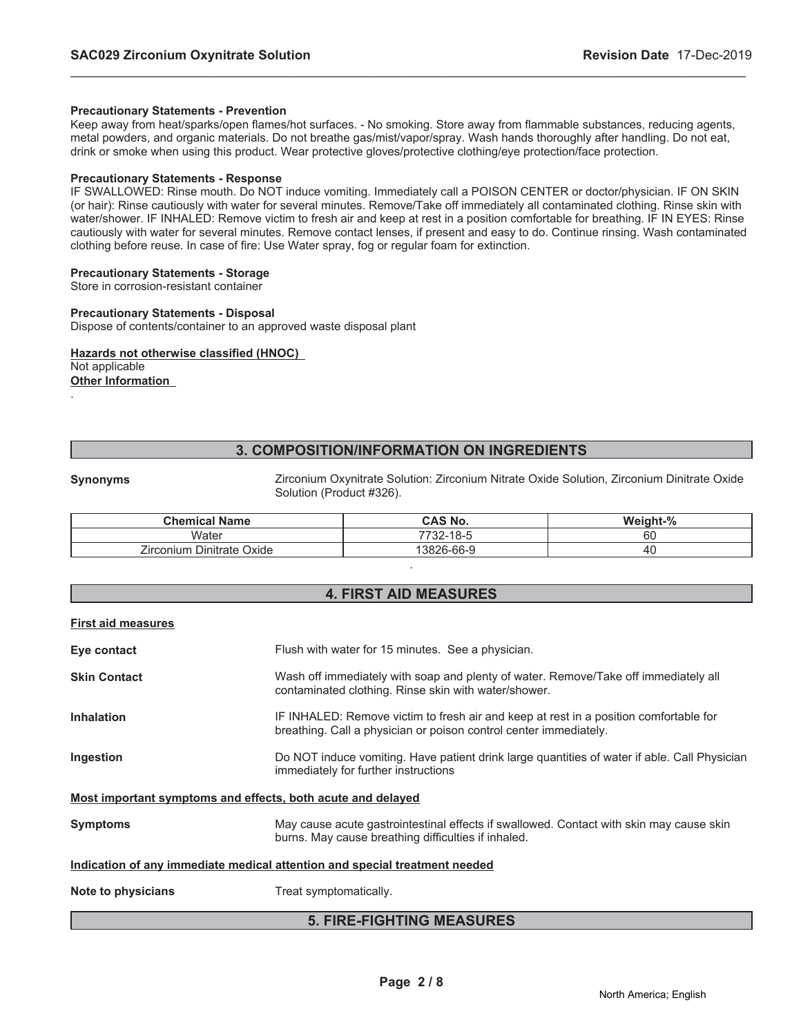#### **Precautionary Statements - Prevention**

Keep away from heat/sparks/open flames/hot surfaces. - No smoking. Store away from flammable substances, reducing agents, metal powders, and organic materials. Do not breathe gas/mist/vapor/spray. Wash hands thoroughly after handling. Do not eat, drink or smoke when using this product. Wear protective gloves/protective clothing/eye protection/face protection.

\_\_\_\_\_\_\_\_\_\_\_\_\_\_\_\_\_\_\_\_\_\_\_\_\_\_\_\_\_\_\_\_\_\_\_\_\_\_\_\_\_\_\_\_\_\_\_\_\_\_\_\_\_\_\_\_\_\_\_\_\_\_\_\_\_\_\_\_\_\_\_\_\_\_\_\_\_\_\_\_\_\_\_\_\_\_\_\_\_\_\_\_\_

#### **Precautionary Statements - Response**

IF SWALLOWED: Rinse mouth. Do NOT induce vomiting. Immediately call a POISON CENTER or doctor/physician. IF ON SKIN (or hair): Rinse cautiously with water for several minutes. Remove/Take off immediately all contaminated clothing. Rinse skin with water/shower. IF INHALED: Remove victim to fresh air and keep at rest in a position comfortable for breathing. IF IN EYES: Rinse cautiously with water for several minutes. Remove contact lenses, if present and easy to do. Continue rinsing. Wash contaminated clothing before reuse. In case of fire: Use Water spray, fog or regular foam for extinction.

#### **Precautionary Statements - Storage**

Store in corrosion-resistant container

#### **Precautionary Statements - Disposal**

Dispose of contents/container to an approved waste disposal plant

#### **Hazards not otherwise classified (HNOC)** Not applicable **Other Information**

.

### **3. COMPOSITION/INFORMATION ON INGREDIENTS**

**Synonyms** Zirconium Oxynitrate Solution: Zirconium Nitrate Oxide Solution, Zirconium Dinitrate Oxide Solution (Product #326).

| <b>Chemical Name</b>         | <b>CAS No.</b> | Weight-% |
|------------------------------|----------------|----------|
| Water                        | 7732-18-5      | c٥<br>oι |
| Dinitrate Oxide<br>Zirconium | 13826-66-9     | 40       |

.

#### **4. FIRST AID MEASURES**

| <b>First aid measures</b>                                   |                                                                                                                                                            |  |
|-------------------------------------------------------------|------------------------------------------------------------------------------------------------------------------------------------------------------------|--|
| Eye contact                                                 | Flush with water for 15 minutes. See a physician.                                                                                                          |  |
| <b>Skin Contact</b>                                         | Wash off immediately with soap and plenty of water. Remove/Take off immediately all<br>contaminated clothing. Rinse skin with water/shower.                |  |
| <b>Inhalation</b>                                           | IF INHALED: Remove victim to fresh air and keep at rest in a position comfortable for<br>breathing. Call a physician or poison control center immediately. |  |
| Ingestion                                                   | Do NOT induce vomiting. Have patient drink large quantities of water if able. Call Physician<br>immediately for further instructions                       |  |
| Most important symptoms and effects, both acute and delayed |                                                                                                                                                            |  |
| <b>Symptoms</b>                                             | May cause acute gastrointestinal effects if swallowed. Contact with skin may cause skin<br>burns. May cause breathing difficulties if inhaled.             |  |
|                                                             | Indication of any immediate medical attention and special treatment needed                                                                                 |  |
| Note to physicians                                          | Treat symptomatically.                                                                                                                                     |  |
| <b>5. FIRE-FIGHTING MEASURES</b>                            |                                                                                                                                                            |  |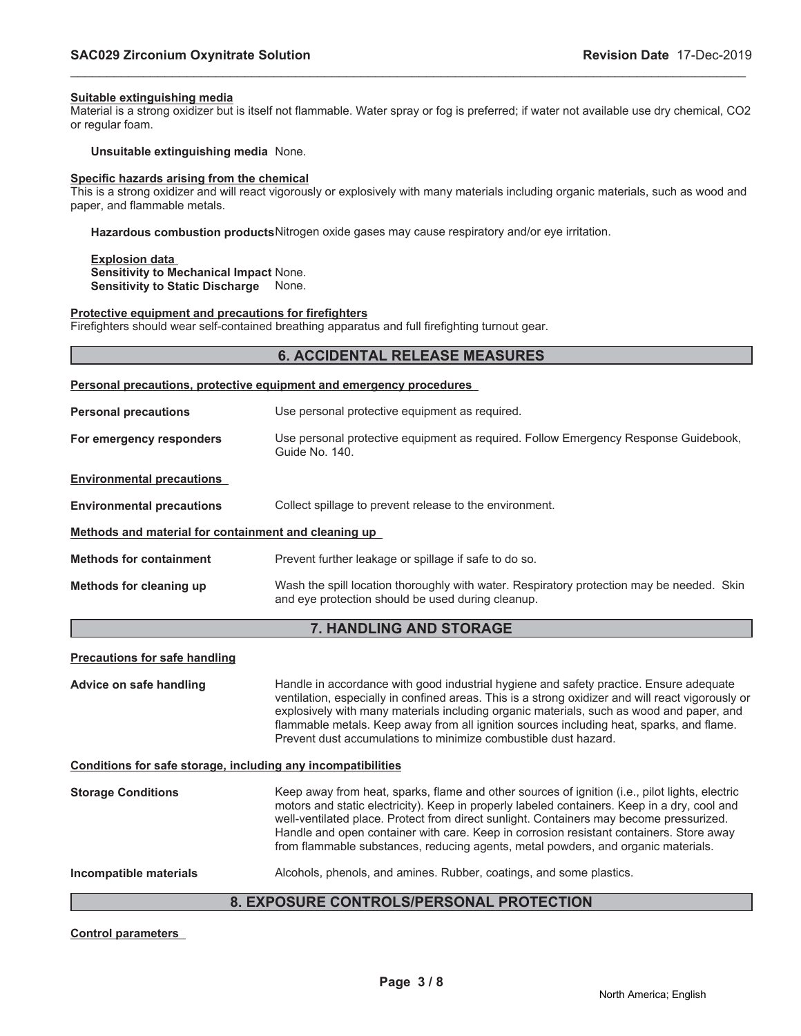#### **Suitable extinguishing media**

Material is a strong oxidizer but is itself not flammable. Water spray or fog is preferred; if water not available use dry chemical, CO2 or regular foam.

\_\_\_\_\_\_\_\_\_\_\_\_\_\_\_\_\_\_\_\_\_\_\_\_\_\_\_\_\_\_\_\_\_\_\_\_\_\_\_\_\_\_\_\_\_\_\_\_\_\_\_\_\_\_\_\_\_\_\_\_\_\_\_\_\_\_\_\_\_\_\_\_\_\_\_\_\_\_\_\_\_\_\_\_\_\_\_\_\_\_\_\_\_

#### **Unsuitable extinguishing media** None.

#### **Specific hazards arising from the chemical**

This is a strong oxidizer and will react vigorously or explosively with many materials including organic materials, such as wood and paper, and flammable metals.

**Hazardous combustion products**Nitrogen oxide gases may cause respiratory and/or eye irritation.

**Explosion data Sensitivity to Mechanical Impact** None. **Sensitivity to Static Discharge** None.

#### **Protective equipment and precautions for firefighters**

Firefighters should wear self-contained breathing apparatus and full firefighting turnout gear.

#### **6. ACCIDENTAL RELEASE MEASURES**

### **Personal precautions, protective equipment and emergency procedures**

| <b>Personal precautions</b>                          | Use personal protective equipment as required.                                                                                                 |  |
|------------------------------------------------------|------------------------------------------------------------------------------------------------------------------------------------------------|--|
| For emergency responders                             | Use personal protective equipment as required. Follow Emergency Response Guidebook,<br>Guide No. 140.                                          |  |
| <b>Environmental precautions</b>                     |                                                                                                                                                |  |
| <b>Environmental precautions</b>                     | Collect spillage to prevent release to the environment.                                                                                        |  |
| Methods and material for containment and cleaning up |                                                                                                                                                |  |
| <b>Methods for containment</b>                       | Prevent further leakage or spillage if safe to do so.                                                                                          |  |
| Methods for cleaning up                              | Wash the spill location thoroughly with water. Respiratory protection may be needed. Skin<br>and eye protection should be used during cleanup. |  |

#### **7. HANDLING AND STORAGE**

#### **Precautions for safe handling**

**Advice on safe handling** Handle in accordance with good industrial hygiene and safety practice. Ensure adequate ventilation, especially in confined areas. This is a strong oxidizer and will react vigorously or explosively with many materials including organic materials, such as wood and paper, and flammable metals. Keep away from all ignition sources including heat, sparks, and flame. Prevent dust accumulations to minimize combustible dust hazard.

**Conditions for safe storage, including any incompatibilities**

**Storage Conditions** Keep away from heat, sparks, flame and other sources of ignition (i.e., pilot lights, electric motors and static electricity). Keep in properly labeled containers. Keep in a dry, cool and well-ventilated place. Protect from direct sunlight. Containers may become pressurized. Handle and open container with care. Keep in corrosion resistant containers. Store away from flammable substances, reducing agents, metal powders, and organic materials.

**Incompatible materials** Alcohols, phenols, and amines. Rubber, coatings, and some plastics.

#### **8. EXPOSURE CONTROLS/PERSONAL PROTECTION**

**Control parameters**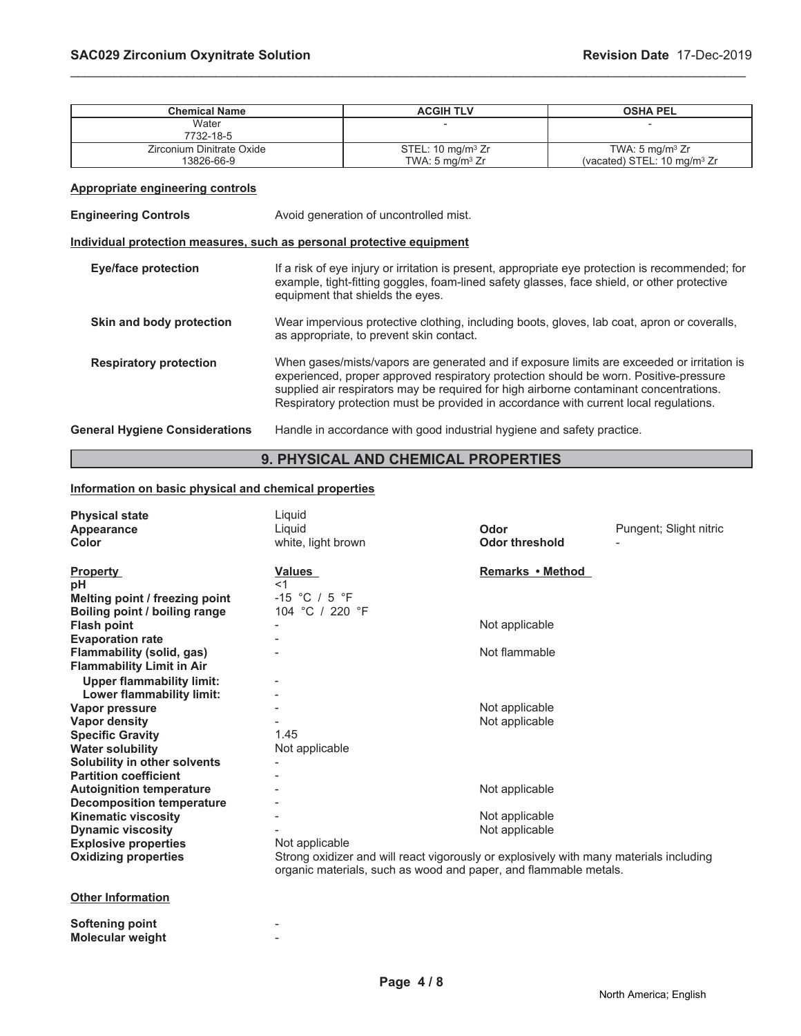| <b>Chemical Name</b>                                                  | <b>ACGIH TLV</b>                                                                                                                                                                                                                                                                                                                                                       |                                                                        | <b>OSHA PEL</b>                                                       |
|-----------------------------------------------------------------------|------------------------------------------------------------------------------------------------------------------------------------------------------------------------------------------------------------------------------------------------------------------------------------------------------------------------------------------------------------------------|------------------------------------------------------------------------|-----------------------------------------------------------------------|
| Water<br>7732-18-5                                                    |                                                                                                                                                                                                                                                                                                                                                                        |                                                                        |                                                                       |
| Zirconium Dinitrate Oxide<br>13826-66-9                               | STEL: 10 mg/m <sup>3</sup> Zr<br>TWA: $5 \text{ mg/m}^3$ Zr                                                                                                                                                                                                                                                                                                            |                                                                        | TWA: $5 \text{ mg/m}^3$ Zr<br>(vacated) STEL: 10 mg/m <sup>3</sup> Zr |
| <b>Appropriate engineering controls</b>                               |                                                                                                                                                                                                                                                                                                                                                                        |                                                                        |                                                                       |
| <b>Engineering Controls</b>                                           |                                                                                                                                                                                                                                                                                                                                                                        | Avoid generation of uncontrolled mist.                                 |                                                                       |
| Individual protection measures, such as personal protective equipment |                                                                                                                                                                                                                                                                                                                                                                        |                                                                        |                                                                       |
| <b>Eye/face protection</b>                                            | If a risk of eye injury or irritation is present, appropriate eye protection is recommended; for<br>example, tight-fitting goggles, foam-lined safety glasses, face shield, or other protective<br>equipment that shields the eyes.                                                                                                                                    |                                                                        |                                                                       |
| Skin and body protection                                              | Wear impervious protective clothing, including boots, gloves, lab coat, apron or coveralls,<br>as appropriate, to prevent skin contact.                                                                                                                                                                                                                                |                                                                        |                                                                       |
| <b>Respiratory protection</b>                                         | When gases/mists/vapors are generated and if exposure limits are exceeded or irritation is<br>experienced, proper approved respiratory protection should be worn. Positive-pressure<br>supplied air respirators may be required for high airborne contaminant concentrations.<br>Respiratory protection must be provided in accordance with current local regulations. |                                                                        |                                                                       |
| <b>General Hygiene Considerations</b>                                 |                                                                                                                                                                                                                                                                                                                                                                        | Handle in accordance with good industrial hygiene and safety practice. |                                                                       |

\_\_\_\_\_\_\_\_\_\_\_\_\_\_\_\_\_\_\_\_\_\_\_\_\_\_\_\_\_\_\_\_\_\_\_\_\_\_\_\_\_\_\_\_\_\_\_\_\_\_\_\_\_\_\_\_\_\_\_\_\_\_\_\_\_\_\_\_\_\_\_\_\_\_\_\_\_\_\_\_\_\_\_\_\_\_\_\_\_\_\_\_\_

### **9. PHYSICAL AND CHEMICAL PROPERTIES**

#### **Information on basic physical and chemical properties**

| <b>Physical state</b><br>Appearance<br>Color | Liquid<br>Liquid<br>white, light brown                                                                                                                     | Odor<br><b>Odor threshold</b> | Pungent; Slight nitric |
|----------------------------------------------|------------------------------------------------------------------------------------------------------------------------------------------------------------|-------------------------------|------------------------|
| <b>Property</b>                              | Values                                                                                                                                                     | Remarks • Method              |                        |
| рH                                           | <1                                                                                                                                                         |                               |                        |
| Melting point / freezing point               | $-15$ °C / 5 °F                                                                                                                                            |                               |                        |
| Boiling point / boiling range                | 104 °C / 220 °F                                                                                                                                            |                               |                        |
| <b>Flash point</b>                           |                                                                                                                                                            | Not applicable                |                        |
| <b>Evaporation rate</b>                      |                                                                                                                                                            |                               |                        |
| Flammability (solid, gas)                    |                                                                                                                                                            | Not flammable                 |                        |
| <b>Flammability Limit in Air</b>             |                                                                                                                                                            |                               |                        |
| <b>Upper flammability limit:</b>             |                                                                                                                                                            |                               |                        |
| Lower flammability limit:                    |                                                                                                                                                            |                               |                        |
| Vapor pressure                               |                                                                                                                                                            | Not applicable                |                        |
| <b>Vapor density</b>                         |                                                                                                                                                            | Not applicable                |                        |
| <b>Specific Gravity</b>                      | 1.45                                                                                                                                                       |                               |                        |
| <b>Water solubility</b>                      | Not applicable                                                                                                                                             |                               |                        |
| Solubility in other solvents                 |                                                                                                                                                            |                               |                        |
| <b>Partition coefficient</b>                 |                                                                                                                                                            |                               |                        |
| <b>Autoignition temperature</b>              |                                                                                                                                                            | Not applicable                |                        |
| <b>Decomposition temperature</b>             |                                                                                                                                                            |                               |                        |
| <b>Kinematic viscosity</b>                   |                                                                                                                                                            | Not applicable                |                        |
| <b>Dynamic viscosity</b>                     |                                                                                                                                                            | Not applicable                |                        |
| <b>Explosive properties</b>                  | Not applicable                                                                                                                                             |                               |                        |
| <b>Oxidizing properties</b>                  | Strong oxidizer and will react vigorously or explosively with many materials including<br>organic materials, such as wood and paper, and flammable metals. |                               |                        |
| Othar Information                            |                                                                                                                                                            |                               |                        |

#### **Other Information**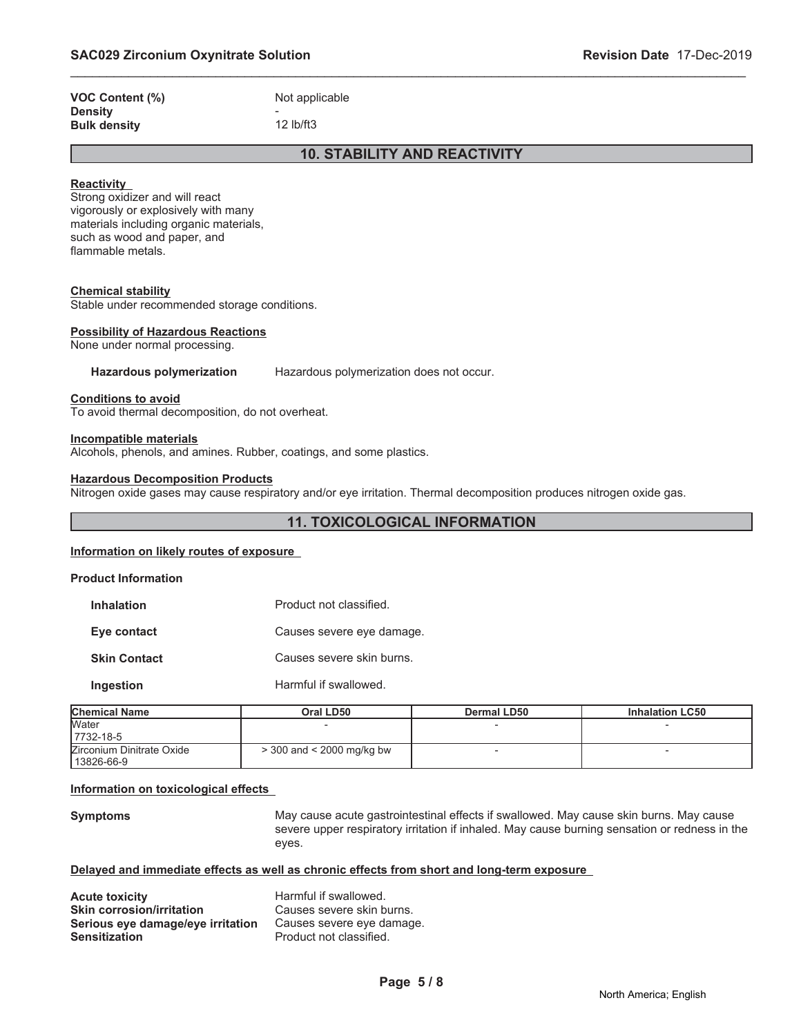| <b>VOC Content (%)</b> | Not applicable |
|------------------------|----------------|
| <b>Density</b>         | -              |
| <b>Bulk density</b>    | $12$ lb/ft $3$ |

### **10. STABILITY AND REACTIVITY**

\_\_\_\_\_\_\_\_\_\_\_\_\_\_\_\_\_\_\_\_\_\_\_\_\_\_\_\_\_\_\_\_\_\_\_\_\_\_\_\_\_\_\_\_\_\_\_\_\_\_\_\_\_\_\_\_\_\_\_\_\_\_\_\_\_\_\_\_\_\_\_\_\_\_\_\_\_\_\_\_\_\_\_\_\_\_\_\_\_\_\_\_\_

#### **Reactivity**

Strong oxidizer and will react vigorously or explosively with many materials including organic materials, such as wood and paper, and flammable metals.

#### **Chemical stability**

Stable under recommended storage conditions.

#### **Possibility of Hazardous Reactions**

None under normal processing.

#### **Hazardous polymerization** Hazardous polymerization does not occur.

**Conditions to avoid**

To avoid thermal decomposition, do not overheat.

#### **Incompatible materials**

Alcohols, phenols, and amines. Rubber, coatings, and some plastics.

#### **Hazardous Decomposition Products**

Nitrogen oxide gases may cause respiratory and/or eye irritation. Thermal decomposition produces nitrogen oxide gas.

### **11. TOXICOLOGICAL INFORMATION**

#### **Information on likely routes of exposure**

#### **Product Information**

| <b>Inhalation</b> | Product not classified. |
|-------------------|-------------------------|
|-------------------|-------------------------|

**Eye contact** Causes severe eye damage.

**Skin Contact** Causes severe skin burns.

**Ingestion** Harmful if swallowed.

| <b>Chemical Name</b>      | Oral LD50                     | Dermal LD50 | <b>Inhalation LC50</b> |
|---------------------------|-------------------------------|-------------|------------------------|
| <b>Water</b>              |                               |             |                        |
| 7732-18-5                 |                               |             |                        |
| Zirconium Dinitrate Oxide | $>$ 300 and $<$ 2000 mg/kg bw |             |                        |
| 13826-66-9                |                               |             |                        |

#### **Information on toxicological effects**

**Symptoms** May cause acute gastrointestinal effects if swallowed. May cause skin burns. May cause severe upper respiratory irritation if inhaled. May cause burning sensation or redness in the eyes.

#### **Delayed and immediate effects as well as chronic effects from short and long-term exposure**

| <b>Acute toxicity</b>             | Harmful if swallowed.     |
|-----------------------------------|---------------------------|
| <b>Skin corrosion/irritation</b>  | Causes severe skin burns. |
| Serious eye damage/eye irritation | Causes severe eye damage. |
| <b>Sensitization</b>              | Product not classified.   |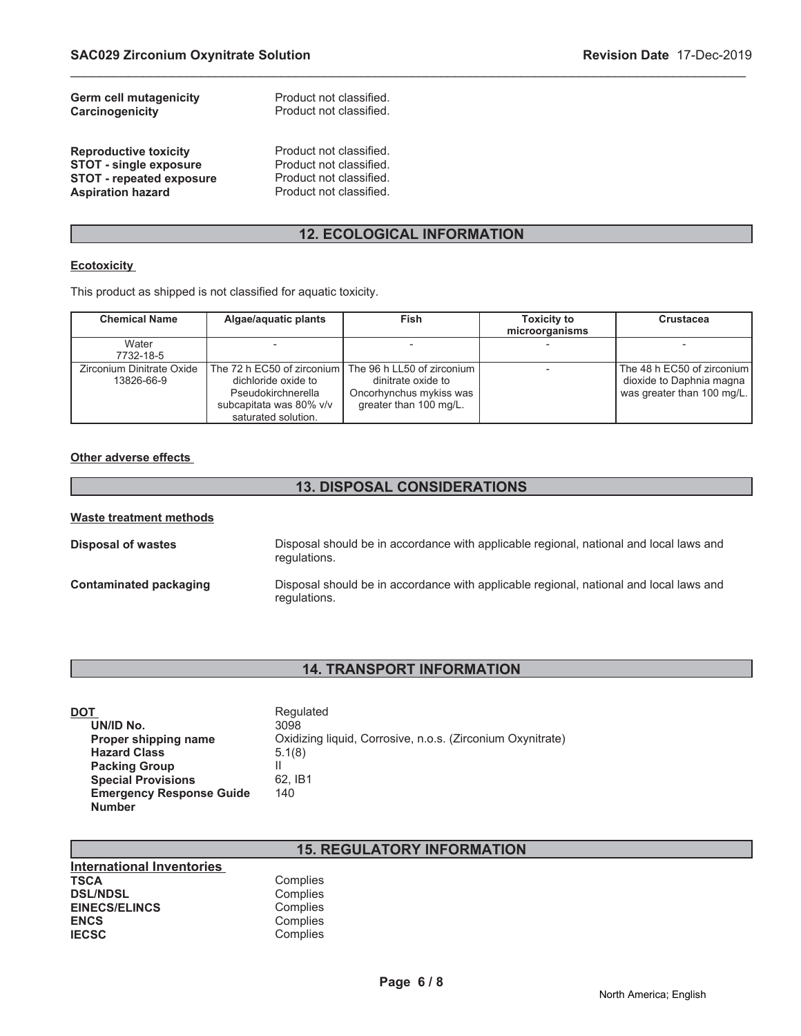| <b>Germ cell mutagenicity</b> | Product not classified.<br>Product not classified. |
|-------------------------------|----------------------------------------------------|
| Carcinogenicity               |                                                    |

**Reproductive toxicity** Product not classified.<br> **STOT - single exposure** Product not classified. **STOT - single exposure** Product not classified.<br> **STOT - repeated exposure** Product not classified. **STOT - repeated exposure<br>Aspiration hazard** 

Product not classified.

### **12. ECOLOGICAL INFORMATION**

\_\_\_\_\_\_\_\_\_\_\_\_\_\_\_\_\_\_\_\_\_\_\_\_\_\_\_\_\_\_\_\_\_\_\_\_\_\_\_\_\_\_\_\_\_\_\_\_\_\_\_\_\_\_\_\_\_\_\_\_\_\_\_\_\_\_\_\_\_\_\_\_\_\_\_\_\_\_\_\_\_\_\_\_\_\_\_\_\_\_\_\_\_

#### **Ecotoxicity**

This product as shipped is not classified for aquatic toxicity.

| <b>Chemical Name</b>                    | Algae/aquatic plants                                                                                                      | <b>Fish</b>                                                                                           | <b>Toxicity to</b> | <b>Crustacea</b>                                                                     |
|-----------------------------------------|---------------------------------------------------------------------------------------------------------------------------|-------------------------------------------------------------------------------------------------------|--------------------|--------------------------------------------------------------------------------------|
|                                         |                                                                                                                           |                                                                                                       | microorganisms     |                                                                                      |
| Water<br>7732-18-5                      |                                                                                                                           |                                                                                                       |                    |                                                                                      |
| Zirconium Dinitrate Oxide<br>13826-66-9 | The 72 h EC50 of zirconium<br>dichloride oxide to<br>Pseudokirchnerella<br>subcapitata was 80% v/v<br>saturated solution. | The 96 h LL50 of zirconium<br>dinitrate oxide to<br>Oncorhynchus mykiss was<br>greater than 100 mg/L. |                    | The 48 h EC50 of zirconium<br>dioxide to Daphnia magna<br>was greater than 100 mg/L. |

#### **Other adverse effects**

### **13. DISPOSAL CONSIDERATIONS**

| Waste treatment methods |                                                                                                        |
|-------------------------|--------------------------------------------------------------------------------------------------------|
| Disposal of wastes      | Disposal should be in accordance with applicable regional, national and local laws and<br>regulations. |
| Contaminated packaging  | Disposal should be in accordance with applicable regional, national and local laws and<br>regulations. |

### **14. TRANSPORT INFORMATION**

| DOT                             | Regulated                                                  |
|---------------------------------|------------------------------------------------------------|
| UN/ID No.                       | 3098                                                       |
| Proper shipping name            | Oxidizing liquid, Corrosive, n.o.s. (Zirconium Oxynitrate) |
| <b>Hazard Class</b>             | 5.1(8)                                                     |
| <b>Packing Group</b>            |                                                            |
| <b>Special Provisions</b>       | 62. IB1                                                    |
| <b>Emergency Response Guide</b> | 140                                                        |
| <b>Number</b>                   |                                                            |

## **15. REGULATORY INFORMATION**

| Complies |
|----------|
| Complies |
| Complies |
| Complies |
| Complies |
|          |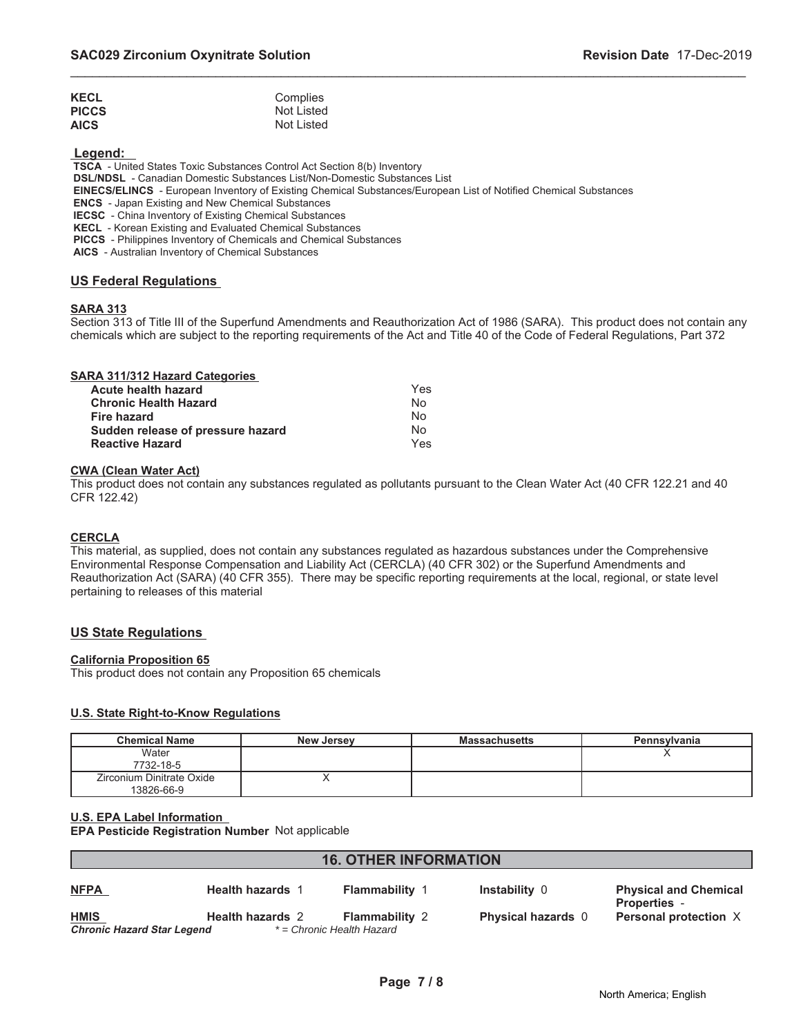| <b>KECL</b>  | Complies   |
|--------------|------------|
| <b>PICCS</b> | Not Listed |
| <b>AICS</b>  | Not Listed |

 **Legend:** 

 **TSCA** - United States Toxic Substances Control Act Section 8(b) Inventory

 **DSL/NDSL** - Canadian Domestic Substances List/Non-Domestic Substances List

 **EINECS/ELINCS** - European Inventory of Existing Chemical Substances/European List of Notified Chemical Substances

 **ENCS** - Japan Existing and New Chemical Substances

 **IECSC** - China Inventory of Existing Chemical Substances

 **KECL** - Korean Existing and Evaluated Chemical Substances

 **PICCS** - Philippines Inventory of Chemicals and Chemical Substances

 **AICS** - Australian Inventory of Chemical Substances

#### **US Federal Regulations**

#### **SARA 313**

Section 313 of Title III of the Superfund Amendments and Reauthorization Act of 1986 (SARA). This product does not contain any chemicals which are subject to the reporting requirements of the Act and Title 40 of the Code of Federal Regulations, Part 372

\_\_\_\_\_\_\_\_\_\_\_\_\_\_\_\_\_\_\_\_\_\_\_\_\_\_\_\_\_\_\_\_\_\_\_\_\_\_\_\_\_\_\_\_\_\_\_\_\_\_\_\_\_\_\_\_\_\_\_\_\_\_\_\_\_\_\_\_\_\_\_\_\_\_\_\_\_\_\_\_\_\_\_\_\_\_\_\_\_\_\_\_\_

| Acute health hazard               |     |
|-----------------------------------|-----|
|                                   | Yes |
| <b>Chronic Health Hazard</b>      | No  |
| Fire hazard                       | No  |
| Sudden release of pressure hazard | No  |
| <b>Reactive Hazard</b>            | Yes |

#### **CWA (Clean Water Act)**

This product does not contain any substances regulated as pollutants pursuant to the Clean Water Act (40 CFR 122.21 and 40 CFR 122.42)

#### **CERCLA**

This material, as supplied, does not contain any substances regulated as hazardous substances under the Comprehensive Environmental Response Compensation and Liability Act (CERCLA) (40 CFR 302) or the Superfund Amendments and Reauthorization Act (SARA) (40 CFR 355). There may be specific reporting requirements at the local, regional, or state level pertaining to releases of this material

#### **US State Regulations**

#### **California Proposition 65**

This product does not contain any Proposition 65 chemicals

#### **U.S. State Right-to-Know Regulations**

| <b>Chemical Name</b>                    | <b>New Jersey</b> | <b>Massachusetts</b> | Pennsylvania |
|-----------------------------------------|-------------------|----------------------|--------------|
| Water<br>7732-18-5                      |                   |                      |              |
| Zirconium Dinitrate Oxide<br>13826-66-9 |                   |                      |              |

**U.S. EPA Label Information EPA Pesticide Registration Number** Not applicable

| <b>16. OTHER INFORMATION</b>                     |                         |                                                    |                           |                                                   |
|--------------------------------------------------|-------------------------|----------------------------------------------------|---------------------------|---------------------------------------------------|
| <b>NFPA</b>                                      | <b>Health hazards 1</b> | <b>Flammability 1</b>                              | Instability 0             | <b>Physical and Chemical</b><br><b>Properties</b> |
| <b>HMIS</b><br><b>Chronic Hazard Star Legend</b> | <b>Health hazards 2</b> | <b>Flammability 2</b><br>* = Chronic Health Hazard | <b>Physical hazards</b> 0 | Personal protection X                             |